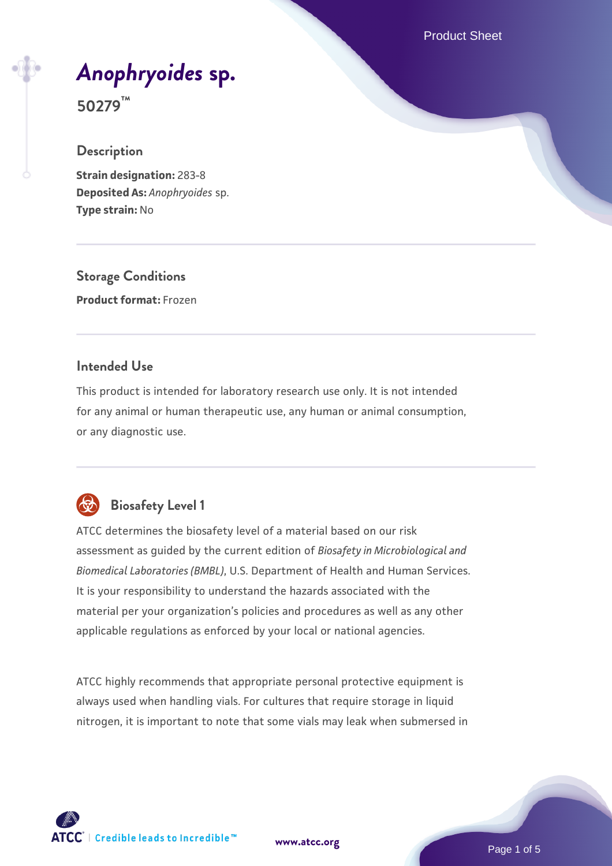Product Sheet

# *[Anophryoides](https://www.atcc.org/products/50279)* **[sp.](https://www.atcc.org/products/50279)**

**50279™**

#### **Description**

**Strain designation:** 283-8 **Deposited As:** *Anophryoides* sp. **Type strain:** No

**Storage Conditions Product format:** Frozen

#### **Intended Use**

This product is intended for laboratory research use only. It is not intended for any animal or human therapeutic use, any human or animal consumption, or any diagnostic use.



## **Biosafety Level 1**

ATCC determines the biosafety level of a material based on our risk assessment as guided by the current edition of *Biosafety in Microbiological and Biomedical Laboratories (BMBL)*, U.S. Department of Health and Human Services. It is your responsibility to understand the hazards associated with the material per your organization's policies and procedures as well as any other applicable regulations as enforced by your local or national agencies.

ATCC highly recommends that appropriate personal protective equipment is always used when handling vials. For cultures that require storage in liquid nitrogen, it is important to note that some vials may leak when submersed in

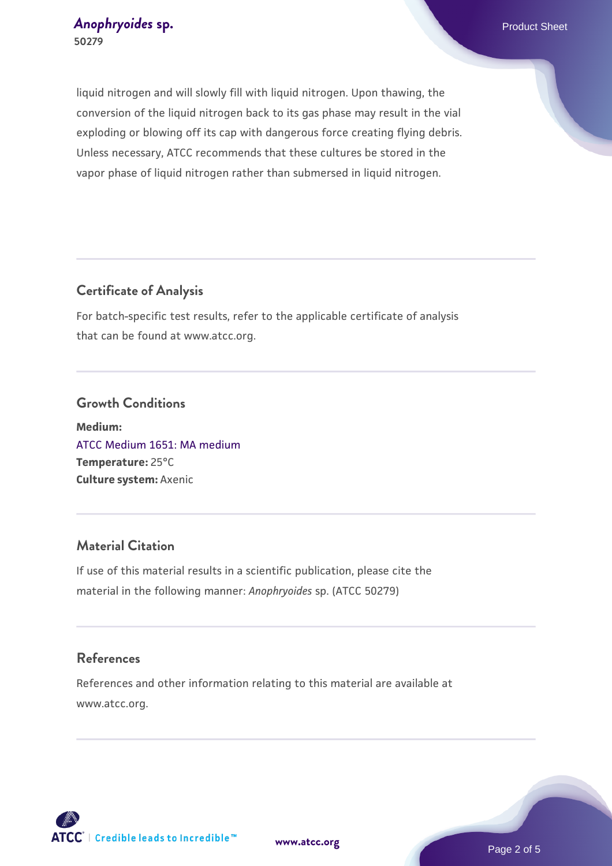#### *[Anophryoides](https://www.atcc.org/products/50279)* [sp.](https://www.atcc.org/products/50279) **Exercía Exercía Exercía Exercía Exercía Exercía Exercía Exercía Exercía Exercía Exercía Exercía Exercía Exercía Exercía Exercía Exercía Exercía Exercía Exercía Exercía Exercía Exercía Exercía Exercía 50279**

liquid nitrogen and will slowly fill with liquid nitrogen. Upon thawing, the conversion of the liquid nitrogen back to its gas phase may result in the vial exploding or blowing off its cap with dangerous force creating flying debris. Unless necessary, ATCC recommends that these cultures be stored in the vapor phase of liquid nitrogen rather than submersed in liquid nitrogen.

#### **Certificate of Analysis**

For batch-specific test results, refer to the applicable certificate of analysis that can be found at www.atcc.org.

#### **Growth Conditions**

**Medium:**  [ATCC Medium 1651: MA medium](https://www.atcc.org/-/media/product-assets/documents/microbial-media-formulations/atcc-medium-1651.pdf?rev=a4e18c3f0af64041ac7f053c571d807b) **Temperature:** 25°C **Culture system:** Axenic

#### **Material Citation**

If use of this material results in a scientific publication, please cite the material in the following manner: *Anophryoides* sp. (ATCC 50279)

#### **References**

References and other information relating to this material are available at www.atcc.org.

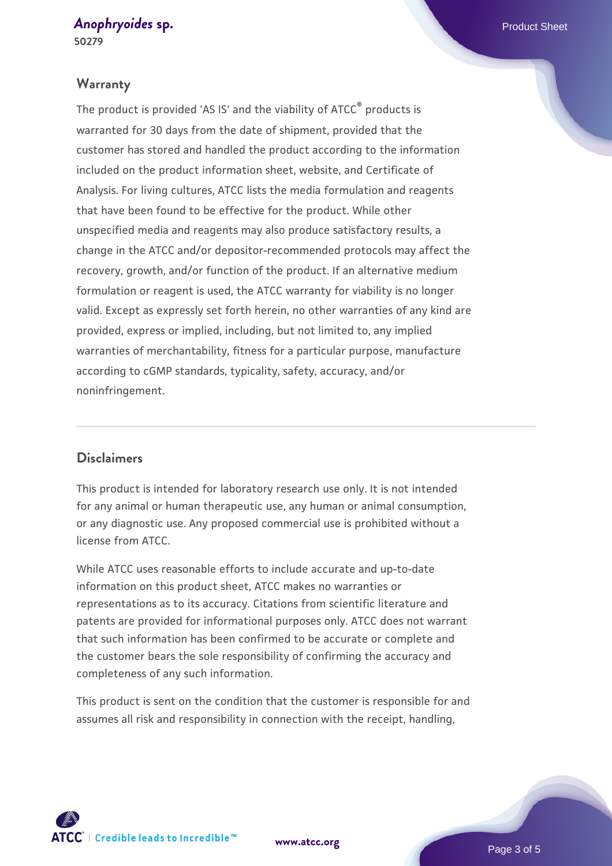## *[Anophryoides](https://www.atcc.org/products/50279)* **[sp.](https://www.atcc.org/products/50279)** Product Sheet

**50279**

#### **Warranty**

The product is provided 'AS IS' and the viability of ATCC® products is warranted for 30 days from the date of shipment, provided that the customer has stored and handled the product according to the information included on the product information sheet, website, and Certificate of Analysis. For living cultures, ATCC lists the media formulation and reagents that have been found to be effective for the product. While other unspecified media and reagents may also produce satisfactory results, a change in the ATCC and/or depositor-recommended protocols may affect the recovery, growth, and/or function of the product. If an alternative medium formulation or reagent is used, the ATCC warranty for viability is no longer valid. Except as expressly set forth herein, no other warranties of any kind are provided, express or implied, including, but not limited to, any implied warranties of merchantability, fitness for a particular purpose, manufacture according to cGMP standards, typicality, safety, accuracy, and/or noninfringement.

#### **Disclaimers**

This product is intended for laboratory research use only. It is not intended for any animal or human therapeutic use, any human or animal consumption, or any diagnostic use. Any proposed commercial use is prohibited without a license from ATCC.

While ATCC uses reasonable efforts to include accurate and up-to-date information on this product sheet, ATCC makes no warranties or representations as to its accuracy. Citations from scientific literature and patents are provided for informational purposes only. ATCC does not warrant that such information has been confirmed to be accurate or complete and the customer bears the sole responsibility of confirming the accuracy and completeness of any such information.

This product is sent on the condition that the customer is responsible for and assumes all risk and responsibility in connection with the receipt, handling,



**[www.atcc.org](http://www.atcc.org)**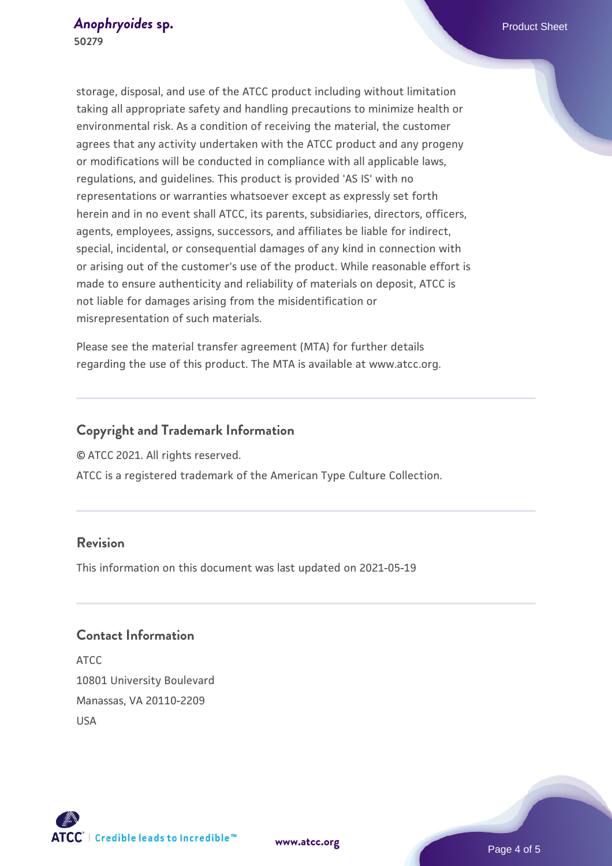storage, disposal, and use of the ATCC product including without limitation taking all appropriate safety and handling precautions to minimize health or environmental risk. As a condition of receiving the material, the customer agrees that any activity undertaken with the ATCC product and any progeny or modifications will be conducted in compliance with all applicable laws, regulations, and guidelines. This product is provided 'AS IS' with no representations or warranties whatsoever except as expressly set forth herein and in no event shall ATCC, its parents, subsidiaries, directors, officers, agents, employees, assigns, successors, and affiliates be liable for indirect, special, incidental, or consequential damages of any kind in connection with or arising out of the customer's use of the product. While reasonable effort is made to ensure authenticity and reliability of materials on deposit, ATCC is not liable for damages arising from the misidentification or misrepresentation of such materials.

Please see the material transfer agreement (MTA) for further details regarding the use of this product. The MTA is available at www.atcc.org.

#### **Copyright and Trademark Information**

© ATCC 2021. All rights reserved.

ATCC is a registered trademark of the American Type Culture Collection.

#### **Revision**

This information on this document was last updated on 2021-05-19

#### **Contact Information**

ATCC 10801 University Boulevard Manassas, VA 20110-2209 USA